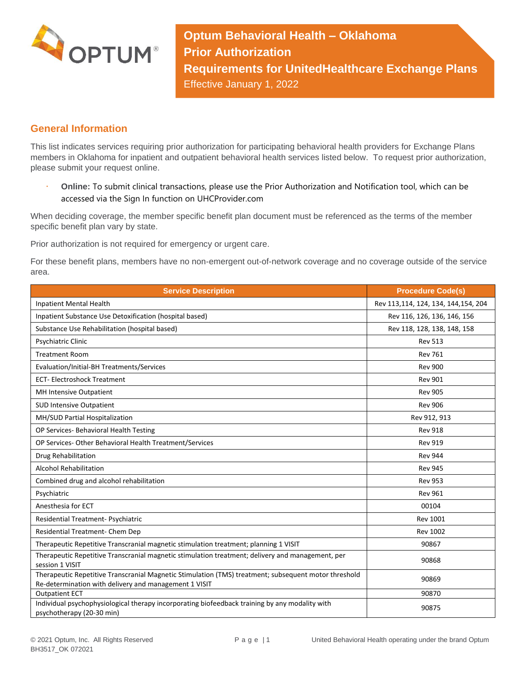

**Optum Behavioral Health – Oklahoma Prior Authorization Requirements for UnitedHealthcare Exchange Plans** Effective January 1, 2022

## **General Information**

This list indicates services requiring prior authorization for participating behavioral health providers for Exchange Plans members in Oklahoma for inpatient and outpatient behavioral health services listed below. To request prior authorization, please submit your request online.

 **Online:** To submit clinical transactions, please use the Prior Authorization and Notification tool, which can be accessed via the Sign In function on UHCProvider.com

When deciding coverage, the member specific benefit plan document must be referenced as the terms of the member specific benefit plan vary by state.

Prior authorization is not required for emergency or urgent care.

For these benefit plans, members have no non-emergent out-of-network coverage and no coverage outside of the service area.

| <b>Service Description</b>                                                                                                                                    | <b>Procedure Code(s)</b>            |
|---------------------------------------------------------------------------------------------------------------------------------------------------------------|-------------------------------------|
| Inpatient Mental Health                                                                                                                                       | Rev 113,114, 124, 134, 144,154, 204 |
| Inpatient Substance Use Detoxification (hospital based)                                                                                                       | Rev 116, 126, 136, 146, 156         |
| Substance Use Rehabilitation (hospital based)                                                                                                                 | Rev 118, 128, 138, 148, 158         |
| <b>Psychiatric Clinic</b>                                                                                                                                     | <b>Rev 513</b>                      |
| <b>Treatment Room</b>                                                                                                                                         | <b>Rev 761</b>                      |
| Evaluation/Initial-BH Treatments/Services                                                                                                                     | <b>Rev 900</b>                      |
| <b>ECT-Electroshock Treatment</b>                                                                                                                             | <b>Rev 901</b>                      |
| MH Intensive Outpatient                                                                                                                                       | <b>Rev 905</b>                      |
| <b>SUD Intensive Outpatient</b>                                                                                                                               | <b>Rev 906</b>                      |
| MH/SUD Partial Hospitalization                                                                                                                                | Rev 912, 913                        |
| OP Services- Behavioral Health Testing                                                                                                                        | <b>Rev 918</b>                      |
| OP Services- Other Behavioral Health Treatment/Services                                                                                                       | <b>Rev 919</b>                      |
| Drug Rehabilitation                                                                                                                                           | <b>Rev 944</b>                      |
| <b>Alcohol Rehabilitation</b>                                                                                                                                 | <b>Rev 945</b>                      |
| Combined drug and alcohol rehabilitation                                                                                                                      | <b>Rev 953</b>                      |
| Psychiatric                                                                                                                                                   | <b>Rev 961</b>                      |
| Anesthesia for ECT                                                                                                                                            | 00104                               |
| Residential Treatment- Psychiatric                                                                                                                            | <b>Rev 1001</b>                     |
| Residential Treatment- Chem Dep                                                                                                                               | <b>Rev 1002</b>                     |
| Therapeutic Repetitive Transcranial magnetic stimulation treatment; planning 1 VISIT                                                                          | 90867                               |
| Therapeutic Repetitive Transcranial magnetic stimulation treatment; delivery and management, per<br>session 1 VISIT                                           | 90868                               |
| Therapeutic Repetitive Transcranial Magnetic Stimulation (TMS) treatment; subsequent motor threshold<br>Re-determination with delivery and management 1 VISIT | 90869                               |
| <b>Outpatient ECT</b>                                                                                                                                         | 90870                               |
| Individual psychophysiological therapy incorporating biofeedback training by any modality with<br>psychotherapy (20-30 min)                                   | 90875                               |